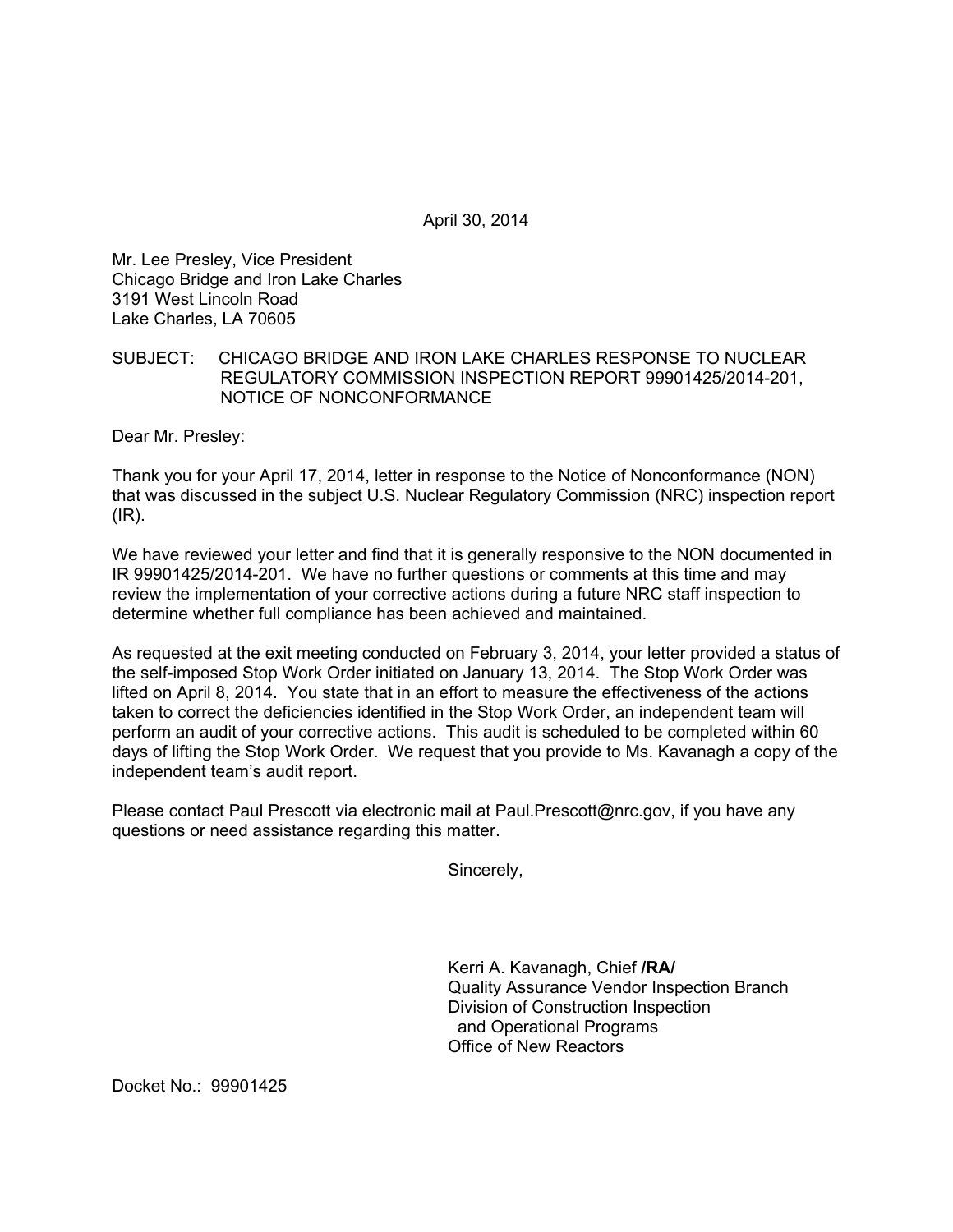April 30, 2014

Mr. Lee Presley, Vice President Chicago Bridge and Iron Lake Charles 3191 West Lincoln Road Lake Charles, LA 70605

## SUBJECT: CHICAGO BRIDGE AND IRON LAKE CHARLES RESPONSE TO NUCLEAR REGULATORY COMMISSION INSPECTION REPORT 99901425/2014-201, NOTICE OF NONCONFORMANCE

Dear Mr. Presley:

Thank you for your April 17, 2014, letter in response to the Notice of Nonconformance (NON) that was discussed in the subject U.S. Nuclear Regulatory Commission (NRC) inspection report  $(IR)$ .

We have reviewed your letter and find that it is generally responsive to the NON documented in IR 99901425/2014-201. We have no further questions or comments at this time and may review the implementation of your corrective actions during a future NRC staff inspection to determine whether full compliance has been achieved and maintained.

As requested at the exit meeting conducted on February 3, 2014, your letter provided a status of the self-imposed Stop Work Order initiated on January 13, 2014. The Stop Work Order was lifted on April 8, 2014. You state that in an effort to measure the effectiveness of the actions taken to correct the deficiencies identified in the Stop Work Order, an independent team will perform an audit of your corrective actions. This audit is scheduled to be completed within 60 days of lifting the Stop Work Order. We request that you provide to Ms. Kavanagh a copy of the independent team's audit report.

Please contact Paul Prescott via electronic mail at Paul.Prescott@nrc.gov, if you have any questions or need assistance regarding this matter.

Sincerely,

Kerri A. Kavanagh, Chief **/RA/**  Quality Assurance Vendor Inspection Branch Division of Construction Inspection and Operational Programs Office of New Reactors

Docket No.: 99901425